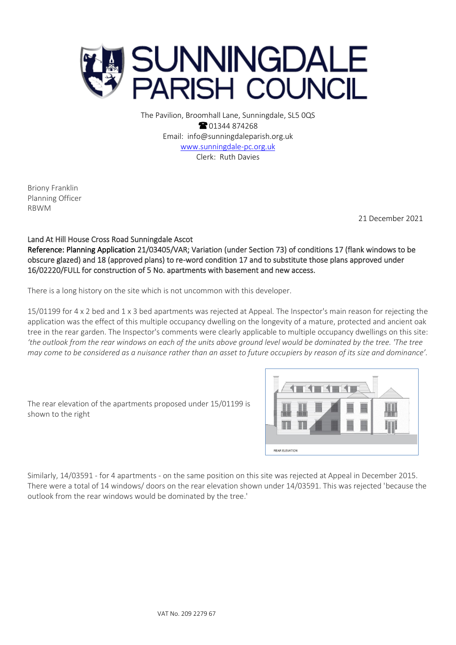

The Pavilion, Broomhall Lane, Sunningdale, SL5 0QS **8** 01344 874268 Email: info@sunningdaleparish.org.uk [www.sunningdale-pc.org.uk](http://www.sunningdale-pc.org.uk/) Clerk: Ruth Davies

Briony Franklin Planning Officer RBWM

21 December 2021

## Land At Hill House Cross Road Sunningdale Ascot

Reference: Planning Application 21/03405/VAR; Variation (under Section 73) of conditions 17 (flank windows to be obscure glazed) and 18 (approved plans) to re-word condition 17 and to substitute those plans approved under 16/02220/FULL for construction of 5 No. apartments with basement and new access.

There is a long history on the site which is not uncommon with this developer.

15/01199 for 4 x 2 bed and 1 x 3 bed apartments was rejected at Appeal. The Inspector's main reason for rejecting the application was the effect of this multiple occupancy dwelling on the longevity of a mature, protected and ancient oak tree in the rear garden. The Inspector's comments were clearly applicable to multiple occupancy dwellings on this site: *'the outlook from the rear windows on each of the units above ground level would be dominated by the tree. 'The tree may come to be considered as a nuisance rather than an asset to future occupiers by reason of its size and dominance'.*

The rear elevation of the apartments proposed under 15/01199 is shown to the right



Similarly, 14/03591 - for 4 apartments - on the same position on this site was rejected at Appeal in December 2015. There were a total of 14 windows/ doors on the rear elevation shown under 14/03591. This was rejected 'because the outlook from the rear windows would be dominated by the tree.'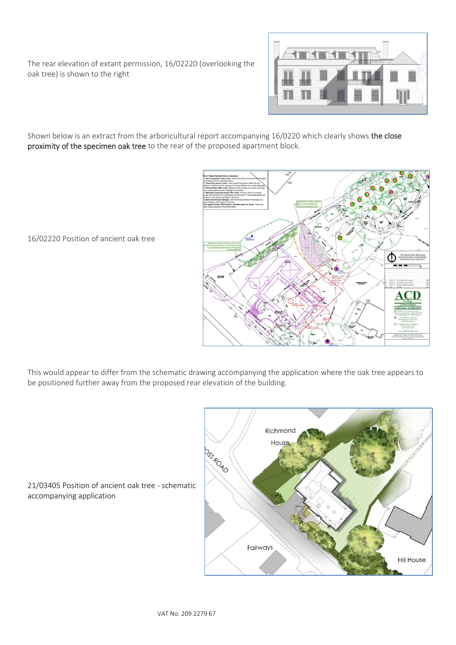The rear elevation of extant permission, 16/02220 (overlooking the oak tree) is shown to the right



Shown below is an extract from the arboricultural report accompanying 16/0220 which clearly shows the close proximity of the specimen oak tree to the rear of the proposed apartment block.



16/02220 Position of ancient oak tree

This would appear to differ from the schematic drawing accompanying the application where the oak tree appears to be positioned further away from the proposed rear elevation of the building.



21/03405 Position of ancient oak tree - schematic accompanying application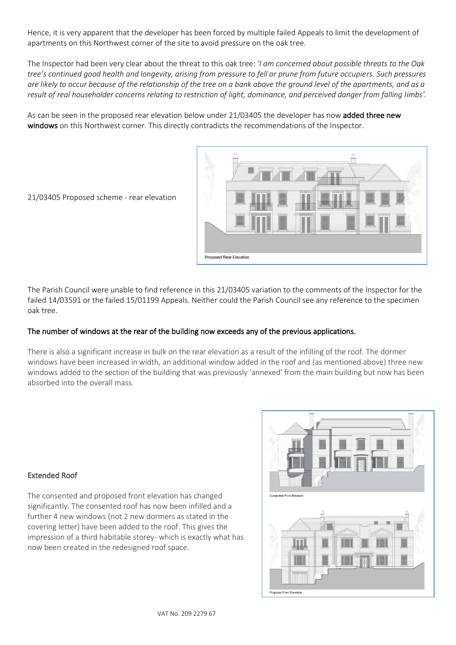Hence, it is very apparent that the developer has been forced by multiple failed Appeals to limit the development of apartments on this Northwest corner of the site to avoid pressure on the oak tree.

The Inspector had been very clear about the threat to this oak tree: *'I am concerned about possible threats to the Oak tree's continued good health and longevity, arising from pressure to fell or prune from future occupiers. Such pressures are likely to occur because of the relationship of the tree on a bank above the ground level of the apartments, and as a result of real householder concerns relating to restriction of light, dominance, and perceived danger from falling limbs'.* 

As can be seen in the proposed rear elevation below under 21/03405 the developer has now added three new windows on this Northwest corner. This directly contradicts the recommendations of the Inspector.



21/03405 Proposed scheme - rear elevation

The Parish Council were unable to find reference in this 21/03405 variation to the comments of the Inspector for the failed 14/03591 or the failed 15/01199 Appeals. Neither could the Parish Council see any reference to the specimen oak tree.

## The number of windows at the rear of the building now exceeds any of the previous applications.

There is also a significant increase in bulk on the rear elevation as a result of the infilling of the roof. The dormer windows have been increased in width, an additional window added in the roof and (as mentioned above) three new windows added to the section of the building that was previously 'annexed' from the main building but now has been absorbed into the overall mass.

## Extended Roof

The consented and proposed front elevation has changed significantly. The consented roof has now been infilled and a further 4 new windows (not 2 new dormers as stated in the covering letter) have been added to the roof. This gives the impression of a third habitable storey- which is exactly what has now been created in the redesigned roof space.

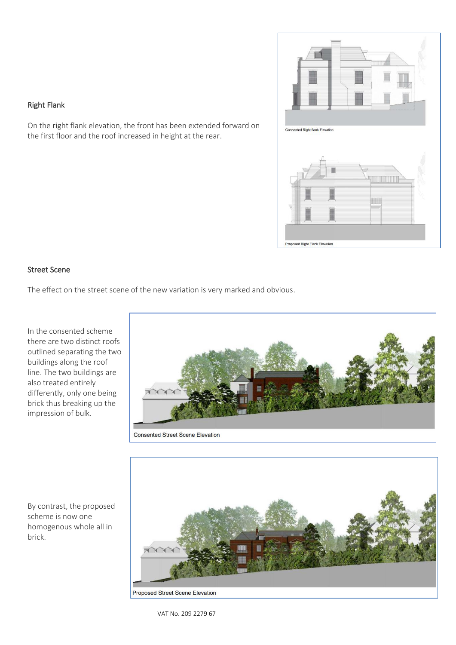

### Right Flank

On the right flank elevation, the front has been extended forward on the first floor and the roof increased in height at the rear.

#### Street Scene

The effect on the street scene of the new variation is very marked and obvious.

In the consented scheme there are two distinct roofs outlined separating the two buildings along the roof line. The two buildings are also treated entirely differently, only one being brick thus breaking up the impression of bulk.





scheme is now one homogenous whole all in brick.

By contrast, the proposed

Proposed Street Scene Elevation